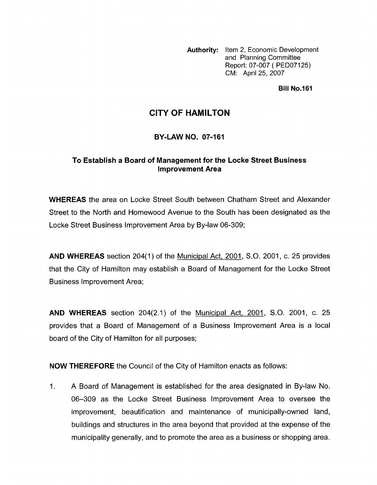**Authority:** Item 2, Economic Development and Planning Committee Report: 07-007 ( PED07125) CM: April 25, 2007

**Bill No.161** 

# **CITY OF HAMILTON**

## **BY-LAW NO. 07-161**

## **To Establish a Board of Management for the Locke Street Business Improvement Area**

**WHEREAS** the area on Locke Street South between Chatham Street and Alexander Street to the North and Homewood Avenue to the South has been designated as the Locke Street Business Improvement Area by By-law 06-309;

**AND WHEREAS** section 204(1) of the Municipal Act, 2001, S.O. 2001, c. 25 provides that the City of Hamilton may establish a Board of Management for the Locke Street Business Improvement Area;

**AND WHEREAS** section 204(2.1) of the Municipal Act, 2001, S.O. 2001, c. 25 provides that a Board of Management of a Business Improvement Area is a local board of the City of Hamilton for all purposes;

**NOW THEREFORE** the Council of the City of Hamilton enacts as follows:

1. A Board of Management is established for the area designated in By-law No. 06-309 as the Locke Street Business Improvement Area to oversee the improvement, beautification and maintenance of municipally-owned land, buildings and structures in the area beyond that provided at the expense of the municipality generally, and to promote the area as a business or shopping area.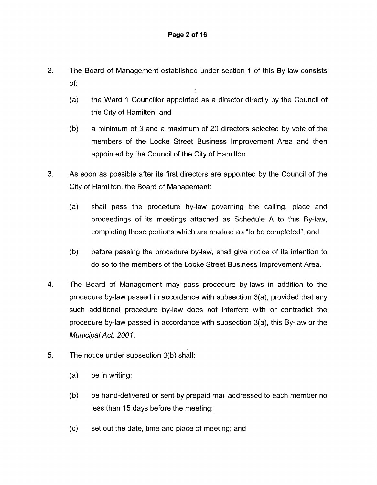- 2. The Board of Management established under section 1 of this By-law consists of:
	- (a) the Ward 1 Councillor appointed as a director directly by the Council of the City of Hamilton; and
	- (b) a minimum of 3 and a maximum of 20 directors selected by vote of the members of the Locke Street Business Improvement Area and then appointed by the Council of the City of Hamilton.
- 3. As soon as possible after its first directors are appointed by the Council of the City of Hamilton, the Board of Management:
	- (a) shall pass the procedure by-law governing the calling, place and proceedings of its meetings attached as Schedule A to this By-law, completing those portions which are marked as "to be completed"; and
	- (b) before passing the procedure by-law, shall give notice of its intention to do so to the members of the Locke Street Business Improvement Area.
- **4.** The Board of Management may pass procedure by-laws in addition to the procedure by-law passed in accordance with subsection 3(a), provided that any such additional procedure by-law does not interfere with or contradict the procedure by-law passed in accordance with subsection 3(a), this By-law or the *Municipal Act, 2001.*
- *5.* The notice under subsection 3(b) shall:
	- (a) be in writing;
	- (b) be hand-delivered or sent by prepaid mail addressed to each member no less than 15 days before the meeting;
	- (c) set out the date, time and place of meeting; and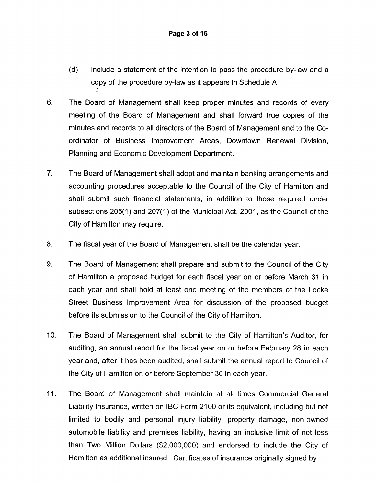- (d) include a statement of the intention to pass the procedure by-law and a copy of the procedure by-law as it appears in Schedule A.
- 6. The Board of Management shall keep proper minutes and records of every meeting of the Board of Management and shall forward true copies of the minutes and records to all directors of the Board of Management and to the Coordinator of Business Improvement Areas, Downtown Renewal Division, Planning and Economic Development Department.
- 7. The Board of Management shall adopt and maintain banking arrangements and accounting procedures acceptable to the Council of the City of Hamilton and shall submit such financial statements, in addition to those required under subsections 205(1) and 207(1) of the Municipal Act, 2001, as the Council of the City of Hamilton may require.
- 8. The fiscal year of the Board of Management shall be the calendar year.
- 9. The Board of Management shall prepare and submit to the Council of the City of Hamilton a proposed budget for each fiscal year on or before March 31 in each year and shall hold at least one meeting of the members of the Locke Street Business Improvement Area for discussion of the proposed budget before its submission to the Council of the City of Hamilton.
- 10. The Board of Management shall submit to the City of Hamilton's Auditor, for auditing, an annual report for the fiscal year on or before February 28 in each year and, after it has been audited, shall submit the annual report to Council of the City of Hamilton on or before September 30 in each year.
- 11. The Board of Management shall maintain at all times Commercial General Liability Insurance, written on IBC Form 2100 or its equivalent, including but not limited to bodily and personal injury liability, property damage, non-owned automobile liability and premises liability, having an inclusive limit of not less than Two Million Dollars (\$2,000,000) and endorsed to include the City of Hamilton as additional insured. Certificates of insurance originally signed by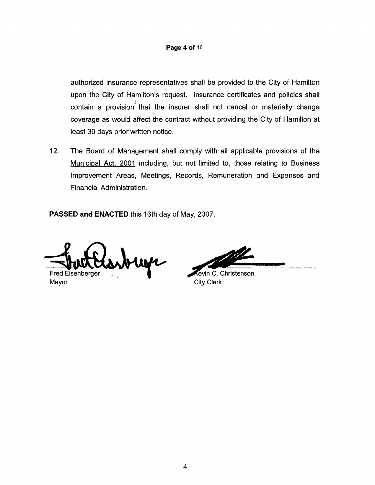### **Page 4 of** 16

authorized insurance representatives shall be provided to the City of Hamilton upon the City of Hamilton's request. Insurance certificates and policies shall contain a provision' that the insurer shall not cancel or materially change coverage as would affect the contract without providing the City of Hamilton at least 30 days prior written notice.

12. The Board of Management shall comply with all applicable provisions of the Municipal Act, 2001 including, but not limited to, those relating to Business Improvement Areas, Meetings, Records, Remuneration and Expenses and Financial Administration.

**PASSED and ENACTED** this 16th day of May, 2007.

 $\mathcal{A}^{\mathcal{A}}$ 

**Fred** Esenberger . Mayor

Aevin C. Christenson City **Clerk**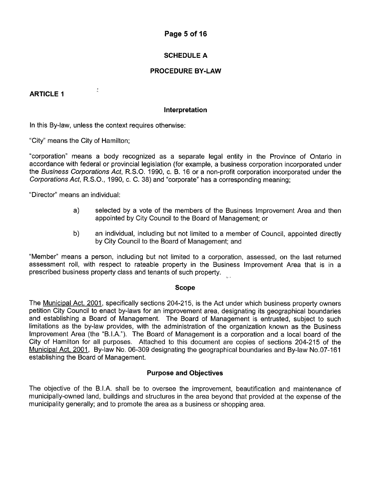## **Page 5 of 16**

## **SCHEDULE A**

## **PROCEDURE BY-LAW**

## **ARTICLE I**

#### **Interpretation**

In this By-law, unless the context requires otherwise:

 $\frac{1}{2}$ 

"City" means the City of Hamilton;

"corporation" means a body recognized as a separate legal entity in the Province of Ontario in accordance with federal or provincial legislation (for example, a business corporation incorporated under the *Business Corporations Act,* R.S.O. 1990, c. B. 16 or a non-profit corporation incorporated under the *Corporafions Act,* R.S.O., 1990, c. C. 38) and "corporate" has a corresponding meaning;

"Director" means an individual:

- a) selected by a vote of the members of the Business Improvement Area and then appointed by City Council to the Board of Management; or
- b) an individual, including but not limited to a member of Council, appointed directly by City Council to the Board of Management; and

"Member" means a person, including but not limited to a corporation, assessed, on the last returned assessment roll, with respect to rateable property in the Business Improvement Area that is in a prescribed business property class and tenants of such property.

#### **Scope**

The Municipal Act, 2001, specifically sections 204-215, is the Act under which business property owners petition City Council to enact by-laws for an improvement area, designating its geographical boundaries and establishing a Board of Management. The Board of Management is entrusted, subject to such limitations as the by-law provides, with the administration of the organization known as the Business Improvement Area (the "B.I.A."). The Board of Management is a corporation and a local board of the City of Hamilton for all purposes. Attached to this document are copies of sections 204-215 of the Municipal Act, 2001, By-law No. 06-309 designating the geographical boundaries and By-law No.07-161 establishing the Board of Management.

### **Purpose and Objectives**

The objective of the B.I.A. shall be to oversee the improvement, beautification and maintenance of municipally-owned land, buildings and structures in the area beyond that provided at the expense of the municipality generally; and to promote the area as a business or shopping area.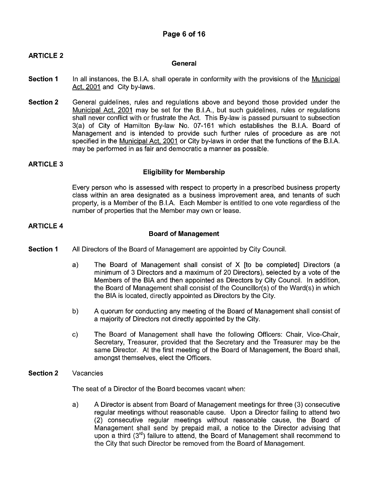## **ARTICLE 2**

### **General**

- **Section 1** In all instances, the B.I.A. shall operate in conformity with the provisions of the Municipal Act, 2001 and City by-laws.
- **Section 2** General guidelines, rules and regulations above and beyond those provided under the Municipal Act, 2001 may be set for the B.I.A., but such guidelines, rules or regulations shall never conflict with or frustrate the Act. This By-law is passed pursuant to subsection 3(a) of City of Hamilton By-law No. 07-161 which establishes the B.I.A. Board of Management and is intended to provide such further rules of procedure as are not specified in the Municipal Act, 2001 or City by-laws in order that the functions of the B.I.A. may be performed in as fair and democratic a manner as possible.

## **ARTICLE 3**

## **Eligibility for Membership**

Every person who is assessed with respect to property in a prescribed business property class within an area designated as a business improvement area, and tenants of such property, is a Member of the B.I.A. Each Member is entitled to one vote regardless of the number of properties that the Member may own or lease.

## **ARTICLE 4**

### **Board of Management**

- **Section 1** All Directors of the Board of Management are appointed by City Council.
	- a) The Board of Management shall consist of X [to be completed] Directors (a minimum of 3 Directors and a maximum of 20 Directors), selected by a vote of the Members of the BIA and then appointed as Directors by City Council. In addition, the Board of Management shall consist of the Councillor(s) of the Ward(s) in which the BIA is located, directly appointed as Directors by the City.
	- b) A quorum for conducting any meeting of the Board of Management shall consist of a majority of Directors not directly appointed by the City.
	- c) The Board of Management shall have the following Officers: Chair, Vice-Chair, Secretary, Treasurer, provided that the Secretary and the Treasurer may be the same Director. At the first meeting of the Board of Management, the Board shall, amongst themselves, elect the Officers.
- **Section 2** Vacancies

The seat of a Director of the Board becomes vacant when:

a) A Director is absent from Board of Management meetings for three (3) consecutive regular meetings without reasonable cause. Upon a Director failing to attend two (2) consecutive regular meetings without reasonable cause, the Board of Management shall send by prepaid mail, a notice to the Director advising that upon a third  $(3<sup>rd</sup>)$  failure to attend, the Board of Management shall recommend to the City that such Director be removed from the Board of Management.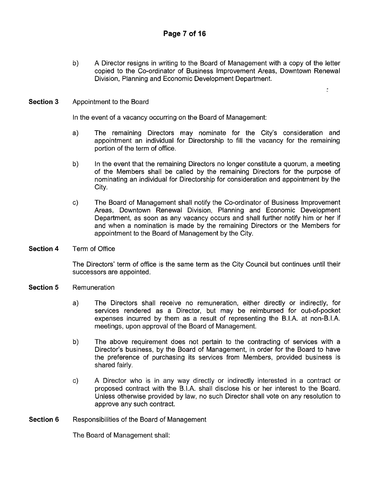b) A Director resigns in writing to the Board of Management with a copy of the letter copied to the Co-ordinator of Business Improvement Areas, Downtown Renewal Division, Planning and Economic Development Department.

ă.

### **Section 3** Appointment to the Board

In the event of a vacancy occurring on the Board of Management:

- a) The remaining Directors may nominate for the City's consideration and appointment an individual for Directorship to fill the vacancy for the remaining portion of the term of office.
- b) In the event that the remaining Directors no longer constitute a quorum, a meeting of the Members shall be called by the remaining Directors for the purpose of nominating an individual for Directorship for consideration and appointment by the City.
- c) The Board of Management shall notify the Co-ordinator of Business Improvement Areas, Downtown Renewal Division, Planning and Economic Development Department, as soon as any vacancy occurs and shall further notify him or her if and when a nomination is made by the remaining Directors or the Members for appointment to the Board of Management by the City.
- **Section 4** Term of Office

The Directors' term of office is the same term as the City Council but continues until their successors are appointed.

- **Section 5** Remuneration
	- a) The Directors shall receive no remuneration, either directly or indirectly, for services rendered as a Director, but may be reimbursed for out-of-pocket expenses incurred by them as a result of representing the B.I.A. at non-B.I.A. meetings, upon approval of the Board of Management.
	- b) The above requirement does not pertain to the contracting of services with a Director's business, by the Board of Management, in order for the Board to have the preference of purchasing its services from Members, provided business is shared fairly.
	- c) A Director who is in any way directly or indirectly interested in a contract or proposed contract with the B.I.A. shall disclose his or her interest to the Board. Unless otherwise provided by law, no such Director shall vote on any resolution to approve any such contract.

### **Section 6** Responsibilities of the Board of Management

The Board of Management shall: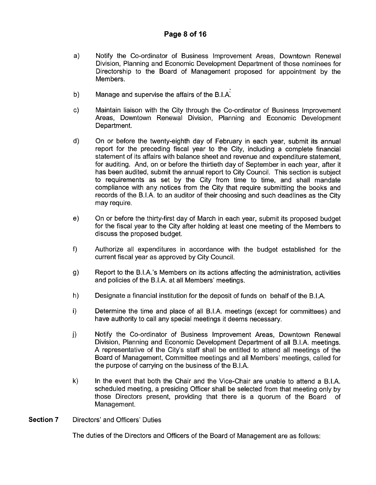- a) Notify the Co-ordinator of Business Improvement Areas, Downtown Renewal Division, Planning and Economic Development Department of those nominees for Directorship to the Board of Management proposed for appointment by the Members.
- b) Manage and supervise the affairs of the B.I.A.
- c) Maintain liaison with the City through the Co-ordinator of Business Improvement Areas, Downtown Renewal Division, Planning and Economic Development Department.
- d) On or before the twenty-eighth day of February in each year, submit its annual report for the preceding fiscal year to the City, including a complete financial statement of its affairs with balance sheet and revenue and expenditure statement, for auditing. And, on or before the thirtieth day of September in each year, after it has been audited, submit the annual report to City Council. This section is subject to requirements as set by the City from time to time, and shall mandate compliance with any notices from the City that require submitting the books and records of the B.I.A. to an auditor of their choosing and such deadlines as the City may require.
- e) On or before the thirty-first day of March in each year, submit its proposed budget for the fiscal year to the City after holding at least one meeting of the Members to discuss the proposed budget.
- Authorize all expenditures in accordance with the budget established for the current fiscal year as approved by City Council.  $f$
- g) Report to the B.I.A.'s Members on its actions affecting the administration, activities and policies of the B.I.A. at all Members' meetings.
- h) Designate a financial institution for the deposit of funds on behalf of the B.I.A.
- i) Determine the time and place of all B.I.A. meetings (except for committees) and have authority to call any special meetings it deems necessary.
- j) Notify the Co-ordinator of Business Improvement Areas, Downtown Renewal Division, Planning and Economic Development Department of all B.I.A. meetings. A representative of the City's staff shall be entitled to attend all meetings of the Board of Management, Committee meetings and all Members' meetings, called for the purpose of carrying on the business of the B.I.A.
- **k)** In the event that both the Chair and the Vice-Chair are unable to attend a B.I.A. scheduled meeting, a presiding Officer shall be selected from that meeting only by those Directors present, providing that there is a quorum of the Board of Management.
- **Section 7** Directors' and Officers' Duties

The duties of the Directors and Officers of the Board of Management are as follows: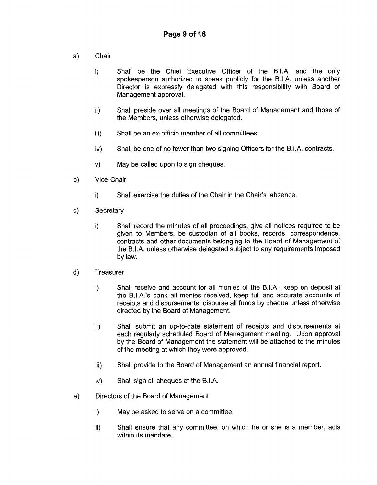- **Chair**  $a)$ 
	- 0 Shall be the Chief Executive Officer of the B.I.A. and the only spokesperson authorized to speak publicly for the B.I.A. unless another Director is expressly delegated with this responsibility with Board of Management approval.
	- ii) Shall preside over all meetings of the Board of Management and those of the Members, unless otherwise delegated.
	- iii) Shall be an ex-officio member of all committees.
	- iv) Shall be one of no fewer than two signing Officers for the B.I.A. contracts.
	- v) May be called upon to sign cheques.
- b) Vice-Chair
	- i) Shall exercise the duties of the Chair in the Chair's absence.
- c) **Secretary** 
	- i) Shall record the minutes of all proceedings, give all notices required to be given to Members, be custodian of all books, records, correspondence, contracts and other documents belonging to the Board of Management of the B.I.A. unless otherwise delegated subject to any requirements imposed by law.
- $\mathsf{d}$ **Treasurer** 
	- i) Shall receive and account for all monies of the B.I.A., keep on deposit at the B.I.A.'s bank all monies received, keep full and accurate accounts of receipts and disbursements; disburse all funds by cheque unless otherwise directed by the Board of Management.
	- ii) Shall submit an up-to-date statement of receipts and disbursements at each regularly scheduled Board of Management meeting. Upon approval by the Board of Management the statement will be attached to the minutes of the meeting at which they were approved.
	- iii) Shall provide to the Board of Management an annual financial report.
	- iv) Shall sign all cheques of the B.I.A.
- Directors of the Board of Management e)
	- i) May be asked to serve on a committee.
	- ii) Shall ensure that any committee, on which he or she is a member, acts within its mandate.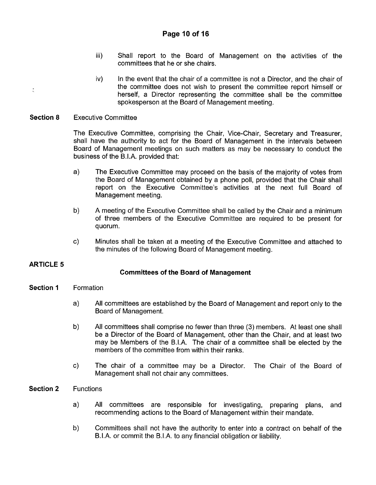- iii) Shall report to the Board of Management on the activities of the committees that he or she chairs.
- $iv)$  In the event that the chair of a committee is not a Director, and the chair of the committee does not wish to present the committee report himself or herself, a Director representing the committee shall be the committee spokesperson at the Board of Management meeting.
- **Section 8** Executive Committee

The Executive Committee, comprising the Chair, Vice-Chair, Secretary and Treasurer, shall have the authority to act for the Board of Management in the intervals between Board of Management meetings on such matters as may be necessary to conduct the business of the B.I.A. provided that:

- a) The Executive Committee may proceed on the basis of the majority of votes from the Board of Management obtained by a phone poll, provided that the Chair shall report on the Executive Committee's activities at the next full Board of Management meeting.
- b) A meeting of the Executive Committee shall be called by the Chair and a minimum of three members of the Executive Committee are required to be present for quorum.
- c) Minutes shall be taken at a meeting of the Executive Committee and attached to the minutes of the following Board of Management meeting.

## **ARTICLE 5**

 $\frac{1}{2}$ 

## **Committees** *of* **the Board** *of* **Management**

- **Section 1** Formation
	- a) All committees are established by the Board of Management and report only to the Board of Management.
	- b) All committees shall comprise no fewer than three (3) members. At least one shall be a Director of the Board of Management, other than the Chair, and at least two may be Members of the B.I.A. The chair of a committee shall be elected by the members of the committee from within their ranks.
	- c) The chair of a committee may be a Director. The Chair of the Board of Management shall not chair any committees.

### **Section 2** Functions

- a) All committees are responsible for investigating, preparing plans, and recommending actions to the Board of Management within their mandate.
- b) Committees shall not have the authority to enter into a contract on behalf of the B.I.A. or commit the B.I.A. to any financial obligation or liability.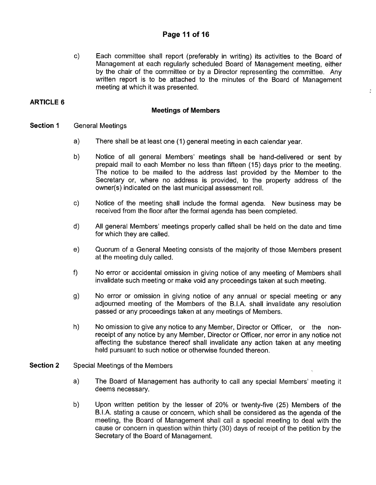## **Page I1 of 16**

c) Each committee shall report (preferably in writing) its activities to the Board of Management at each regularly scheduled Board of Management meeting, either by the chair of the committee or by a Director representing the committee. Any written report is to be attached to the minutes of the Board of Management meeting at which it was presented.

 $\frac{1}{2}$ 

## **ARTICLE 6**

### **Meetings of Members**

- **Section 1** General Meetings
	- a) There shall be at least one (1) general meeting in each calendar year.
	- b) Notice of all general Members' meetings shall be hand-delivered or sent by prepaid mail to each Member no less than fifteen (15) days prior to the meeting. The notice to be mailed to the address last provided by the Member to the Secretary or, where no address is provided, to the property address of the owner(s) indicated on the last municipal assessment roll.
	- c) Notice of the meeting shall include the formal agenda. New business may be received from the floor after the formal agenda has been completed.
	- d) All general Members' meetings properly called shall be held on the date and time for which they are called.
	- e) Quorum of a General Meeting consists of the majority of those Members present at the meeting duly called.
	- f) No error or accidental omission in giving notice of any meeting of Members shall invalidate such meeting or make void any proceedings taken at such meeting.
	- g) No error or omission in giving notice of any annual or special meeting or any adjourned meeting of the Members of the B.I.A. shall invalidate any resolution passed or any proceedings taken at any meetings of Members.
	- h) No omission to give any notice to any Member, Director or Officer, or the nonreceipt of any notice by any Member, Director or Officer, nor error in any notice not affecting the substance thereof shall invalidate any action taken at any meeting held pursuant to such notice or otherwise founded thereon.
- **Section 2** Special Meetings of the Members
	- a) The Board of Management has authority to call any special Members' meeting it deems necessary.
	- b) Upon written petition by the lesser of 20% or twenty-five (25) Members of the B.I.A. stating a cause or concern, which shall be considered as the agenda of the meeting, the Board of Management shall call a special meeting to deal with the cause or concern in question within thirty (30) days of receipt of the petition by the Secretary of the Board of Management.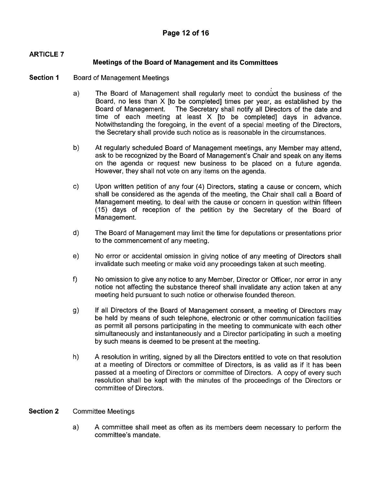## **ARTICLE 7**

## **Meetings of the Board of Management and its Committees**

- **Section 1** Board of Management Meetings
	- The Board of Management shall regularly meet to conduct the business of the  $a)$ Board, no less than X [to be completed] times per year, as established by the The Secretary shall notify all Directors of the date and time of each meeting at least X [to be completed] days in advance. Notwithstanding the foregoing, in the event of a special meeting of the Directors, the Secretary shall provide such notice as is reasonable in the circumstances.
	- b) **At** regularly scheduled Board of Management meetings, any Member may attend, ask to be recognized by the Board of Management's Chair and speak on any items on the agenda or request new business to be placed on a future agenda. However, they shall not vote on any items on the agenda.
	- $\mathsf{c})$ Upon written petition of any four **(4)** Directors, stating a cause or concern, which shall be considered as the agenda of the meeting, the Chair shall call a Board of Management meeting, to deal with the cause or concern in question within fifteen (15) days of reception of the petition by the Secretary of the Board of Management.
	- The Board of Management may limit the time for deputations or presentations prior d) to the commencement of any meeting.
	- No error or accidental omission in giving notice of any meeting of Directors shall e) invalidate such meeting or make void any proceedings taken at such meeting.
	- $f$ No omission to give any notice to any Member, Director or Officer, nor error in any notice not affecting the substance thereof shall invalidate any action taken at any meeting held pursuant to such notice or otherwise founded thereon.
	- $\mathsf{q}$ If all Directors of the Board of Management consent, a meeting of Directors may be held by means of such telephone, electronic or other communication facilities as permit all persons participating in the meeting to communicate with each other simultaneously and instantaneously and a Director participating in such a meeting by such means is deemed to be present at the meeting.
	- h) **A** resolution in writing, signed by all the Directors entitled to vote on that resolution at a meeting of Directors or committee of Directors, is as valid as if it has been passed at a meeting of Directors or committee of Directors. **A** copy of every such resolution shall be kept with the minutes of the proceedings of the Directors or committee of Directors.

## **Section 2** Committee Meetings

a) **A** committee shall meet as often as its members deem necessary to perform the committee's mandate.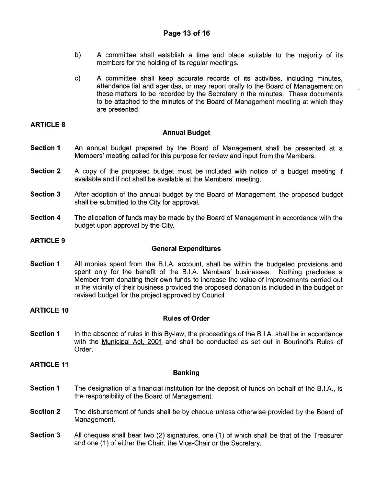- b) A committee shall establish a time and place suitable to the majority of its members for the holding of its regular meetings.
- c) A committee shall keep accurate records of its activities, including minutes, attendance list and agendas, or may report orally to the Board of Management on these matters to be recorded by the Secretary in the minutes. These documents to be attached to the minutes of the Board of Management meeting at which they are presented.

,

## **ARTICLE 8**

## **Annual Budget**

- **Section 1** An annual budget prepared by the Board of Management shall be presented at a Members' meeting called for this purpose for review and input from the Members.
- **Section 2** A copy of the proposed budget must be included with notice of a budget meeting if available and if not shall be available at the Members' meeting.
- **Section 3** After adoption of the annual budget by the Board of Management, the proposed budget shall be submitted to the City for approval.
- **Section 4** The allocation of funds may be made by the Board of Management in accordance with the budget upon approval by the City.

## **ARTICLE 9**

## **General Expenditures**

**Section 1** All monies spent from the B.I.A. account, shall be within the budgeted provisions and spent only for the benefit of the B.I.A. Members' businesses. Nothing precludes a spent only for the benefit of the B.I.A. Members' businesses. Member from donating their own funds to increase the value of improvements carried out in the vicinity of their business provided the proposed donation is included in the budget or revised budget for the project approved by Council.

## **ARTICLE 10**

## **Rules of Order**

**Section 1** In the absence of rules in this By-law, the proceedings of the B.I.A. shall be in accordance with the Municipal Act, 2001 and shall be conducted as set out in Bourinot's Rules of Order.

**ARTICLE 11** 

## **Banking**

- **Section 1** The designation of a financial institution for the deposit of funds on behalf of the B.I.A., is the responsibility of the Board of Management.
- **Section 2** The disbursement of funds shall be by cheque unless otherwise provided by the Board of Management.
- **Section 3** All cheques shall bear two (2) signatures, one (1) of which shall be that of the Treasurer and one (1) of either the Chair, the Vice-Chair or the Secretary.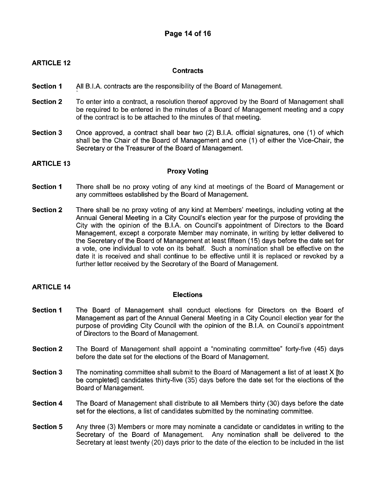### **ARTICLE 12**

### **Contracts**

- **Section 1**  All B.I.A. contracts are the responsibility of the Board of Management.
- **Section 2**  To enter into a contract, a resolution thereof approved by the Board of Management shall be required to be entered in the minutes of a Board of Management meeting and a copy of the contract is to be attached to the minutes of that meeting.
- **Section 3** Once approved, a contract shall bear two (2) B.I.A. official signatures, one (1) of which shall be the Chair of the Board of Management and one (1) of either the Vice-Chair, the Secretary or the Treasurer of the Board of Management.

### **ARTICLE 13**

### **Proxy Voting**

- **Section 1** There shall be no proxy voting of any kind at meetings of the Board of Management or any committees established by the Board of Management.
- **Section 2** There shall be no proxy voting of any kind at Members' meetings, including voting at the Annual General Meeting in a City Council's election year for the purpose of providing the City with the opinion of the B.I.A. on Council's appointment of Directors to the Board Management, except a corporate Member may nominate, in writing by letter delivered to the Secretary of the Board of Management at least fifteen (1 *5)* days before the date set for a vote, one individual to vote on its behalf. Such a nomination shall be effective on the date it is received and shall continue to be effective until it is replaced or revoked by a further letter received by the Secretary of the Board of Management.

### **ARTICLE 14**

### **Elections**

- **Section 1** The Board of Management shall conduct elections for Directors on the Board of Management as part of the Annual General Meeting in a City Council election year for the purpose of providing City Council with the opinion of the B.I.A. on Council's appointment of Directors to the Board of Management.
- **Section 2** The Board of Management shall appoint a "nominating committee" forty-five (45) days before the date set for the elections of the Board of Management.
- **Section 3** The nominating committee shall submit to the Board of Management a list of at least X [to be completed] candidates thirty-five (35) days before the date set for the elections of the Board of Management.
- **Section 4** The Board of Management shall distribute to all Members thirty (30) days before the date set for the elections, a list of candidates submitted by the nominating committee.
- **Section 5** Any three (3) Members or more may nominate a candidate or candidates in writing to the Secretary of the Board of Management. Any nomination shall be delivered to the Secretary at least twenty (20) days prior to the date of the election to be included in the list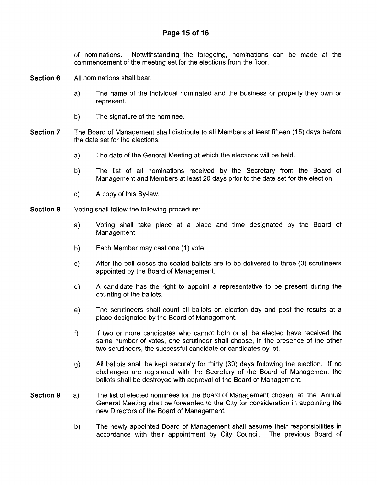of nominations. Notwithstanding the foregoing, nominations can be made at the commencement of the meeting set for the elections from the floor.

- **Section 6** All nominations shall bear:
	- a) The name of the individual nominated and the business or property they own or represent.
	- b) The signature of the nominee.
- **Section 7** The Board of Management shall distribute to all Members at least fifteen (15) days before the date set for the elections:
	- a) The date of the General Meeting at which the elections will be held.
	- b) The list of all nominations received by the Secretary from the Board of Management and Members at least 20 days prior to the date set for the election.
	- c) A copy of this By-law.
- **Section 8** Voting shall follow the following procedure:
	- a) Voting shall take place at a place and time designated by the Board of Management.
	- b) Each Member may cast one (1) vote.
	- c) After the poll closes the sealed ballots are to be delivered to three (3) scrutineers appointed by the Board of Management.
	- d) A candidate has the right to appoint a representative to be present during the counting of the ballots.
	- e) The scrutineers shall count all ballots on election day and post the results at a place designated by the Board of Management.
	- If two or more candidates who cannot both or all be elected have received the same number of votes, one scrutineer shall choose, in the presence of the other two scrutineers, the successful candidate or candidates by lot. f)
	- g) All ballots shall be kept securely for thirty (30) days following the election. If no challenges are registered with the Secretary of the Board of Management the ballots shall be destroyed with approval of the Board of Management.
- **Section 9** a) The list of elected nominees for the Board of Management chosen at the Annual General Meeting shall be forwarded to the City for consideration in appointing the new Directors of the Board of Management.
	- b) The newly appointed Board of Management shall assume their responsibilities in accordance with their appointment by City Council. The previous Board of